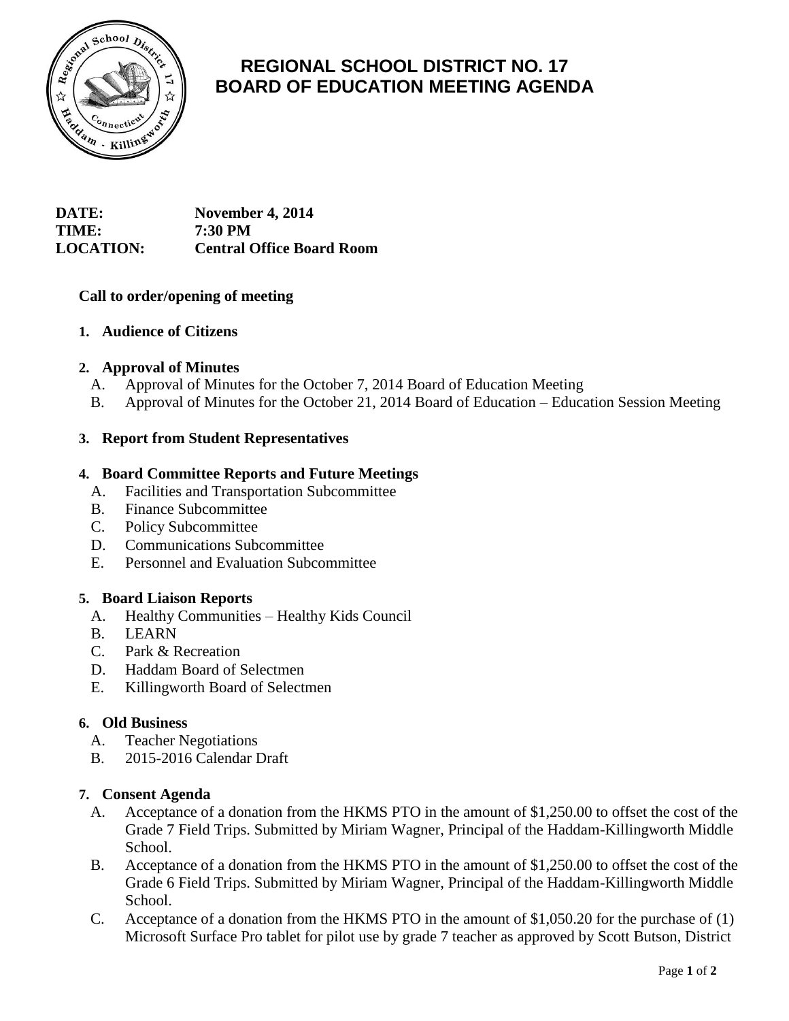

# **REGIONAL SCHOOL DISTRICT NO. 17 BOARD OF EDUCATION MEETING AGENDA**

## **DATE: November 4, 2014 TIME: 7:30 PM LOCATION: Central Office Board Room**

## **Call to order/opening of meeting**

## **1. Audience of Citizens**

## **2. Approval of Minutes**

- A. Approval of Minutes for the October 7, 2014 Board of Education Meeting
- B. Approval of Minutes for the October 21, 2014 Board of Education Education Session Meeting

## **3. Report from Student Representatives**

#### **4. Board Committee Reports and Future Meetings**

- A. Facilities and Transportation Subcommittee
- B. Finance Subcommittee
- C. Policy Subcommittee
- D. Communications Subcommittee
- E. Personnel and Evaluation Subcommittee

#### **5. Board Liaison Reports**

- A. Healthy Communities Healthy Kids Council
- B. LEARN
- C. Park & Recreation
- D. Haddam Board of Selectmen
- E. Killingworth Board of Selectmen

## **6. Old Business**

- A. Teacher Negotiations
- B. 2015-2016 Calendar Draft

#### **7. Consent Agenda**

- A. Acceptance of a donation from the HKMS PTO in the amount of \$1,250.00 to offset the cost of the Grade 7 Field Trips. Submitted by Miriam Wagner, Principal of the Haddam-Killingworth Middle School.
- B. Acceptance of a donation from the HKMS PTO in the amount of \$1,250.00 to offset the cost of the Grade 6 Field Trips. Submitted by Miriam Wagner, Principal of the Haddam-Killingworth Middle School.
- C. Acceptance of a donation from the HKMS PTO in the amount of \$1,050.20 for the purchase of (1) Microsoft Surface Pro tablet for pilot use by grade 7 teacher as approved by Scott Butson, District